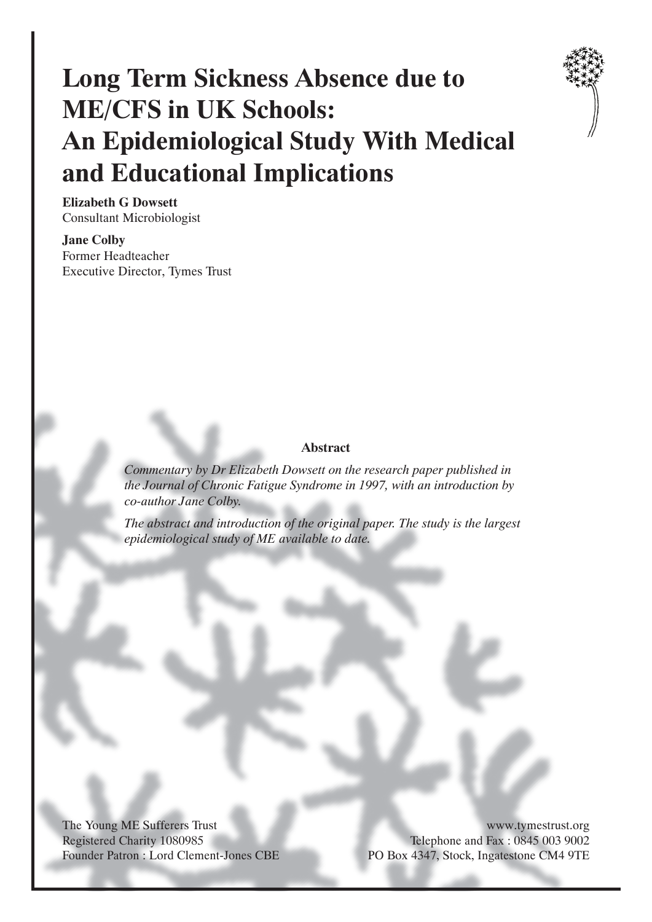# **Long Term Sickness Absence due to ME/CFS in UK Schools: An Epidemiological Study With Medical and Educational Implications**



**Elizabeth G Dowsett** Consultant Microbiologist

**Jane Colby** Former Headteacher Executive Director, Tymes Trust

#### **Abstract**

*Commentary by Dr Elizabeth Dowsett on the research paper published in the Journal of Chronic Fatigue Syndrome in 1997, with an introduction by co-author Jane Colby.*

*The abstract and introduction of the original paper. The study is the largest epidemiological study of ME available to date.*

The Young ME Sufferers Trust Registered Charity 1080985 Founder Patron : Lord Clement-Jones CBE

www.tymestrust.org Telephone and Fax : 0845 003 9002 PO Box 4347, Stock, Ingatestone CM4 9TE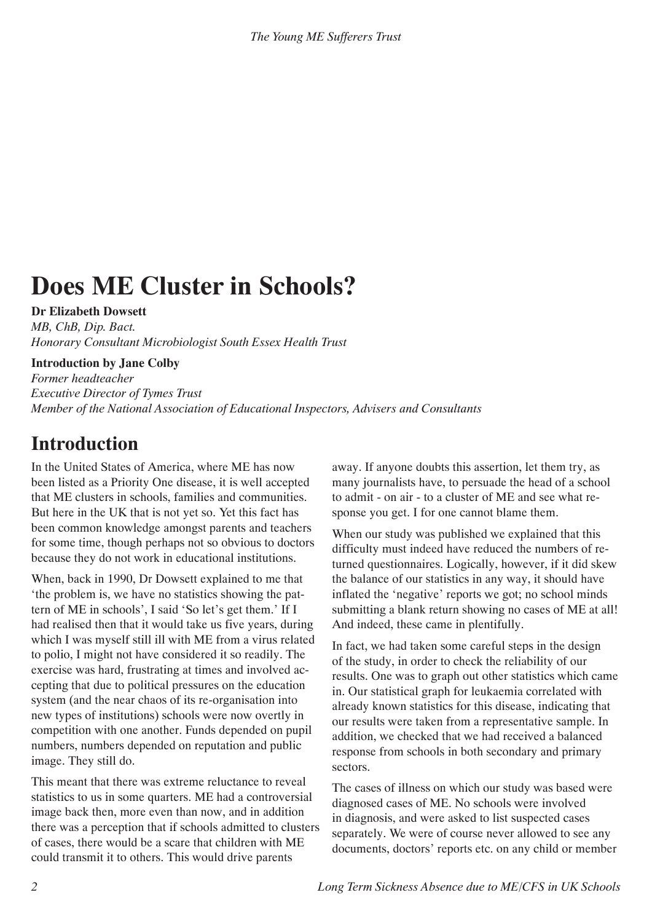# **Does ME Cluster in Schools?**

**Dr Elizabeth Dowsett**

*MB, ChB, Dip. Bact. Honorary Consultant Microbiologist South Essex Health Trust*

**Introduction by Jane Colby**

*Former headteacher Executive Director of Tymes Trust Member of the National Association of Educational Inspectors, Advisers and Consultants*

# **Introduction**

In the United States of America, where ME has now been listed as a Priority One disease, it is well accepted that ME clusters in schools, families and communities. But here in the UK that is not yet so. Yet this fact has been common knowledge amongst parents and teachers for some time, though perhaps not so obvious to doctors because they do not work in educational institutions.

When, back in 1990, Dr Dowsett explained to me that 'the problem is, we have no statistics showing the pattern of ME in schools', I said 'So let's get them.' If I had realised then that it would take us five years, during which I was myself still ill with ME from a virus related to polio, I might not have considered it so readily. The exercise was hard, frustrating at times and involved accepting that due to political pressures on the education system (and the near chaos of its re-organisation into new types of institutions) schools were now overtly in competition with one another. Funds depended on pupil numbers, numbers depended on reputation and public image. They still do.

This meant that there was extreme reluctance to reveal statistics to us in some quarters. ME had a controversial image back then, more even than now, and in addition there was a perception that if schools admitted to clusters of cases, there would be a scare that children with ME could transmit it to others. This would drive parents

away. If anyone doubts this assertion, let them try, as many journalists have, to persuade the head of a school to admit - on air - to a cluster of ME and see what response you get. I for one cannot blame them.

When our study was published we explained that this difficulty must indeed have reduced the numbers of returned questionnaires. Logically, however, if it did skew the balance of our statistics in any way, it should have inflated the 'negative' reports we got; no school minds submitting a blank return showing no cases of ME at all! And indeed, these came in plentifully.

In fact, we had taken some careful steps in the design of the study, in order to check the reliability of our results. One was to graph out other statistics which came in. Our statistical graph for leukaemia correlated with already known statistics for this disease, indicating that our results were taken from a representative sample. In addition, we checked that we had received a balanced response from schools in both secondary and primary sectors.

The cases of illness on which our study was based were diagnosed cases of ME. No schools were involved in diagnosis, and were asked to list suspected cases separately. We were of course never allowed to see any documents, doctors' reports etc. on any child or member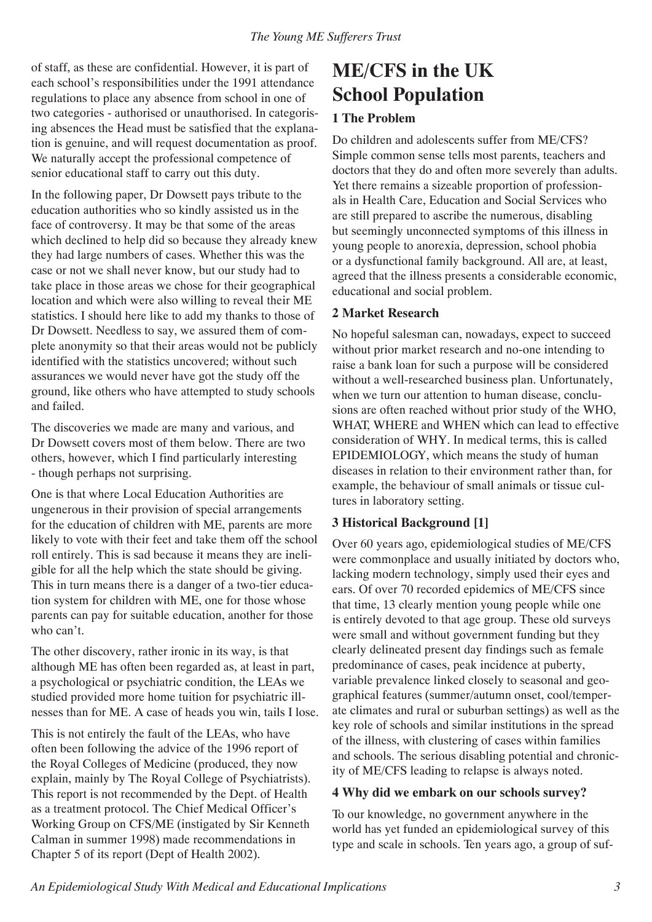of staff, as these are confidential. However, it is part of each school's responsibilities under the 1991 attendance regulations to place any absence from school in one of two categories - authorised or unauthorised. In categorising absences the Head must be satisfied that the explanation is genuine, and will request documentation as proof. We naturally accept the professional competence of senior educational staff to carry out this duty.

In the following paper, Dr Dowsett pays tribute to the education authorities who so kindly assisted us in the face of controversy. It may be that some of the areas which declined to help did so because they already knew they had large numbers of cases. Whether this was the case or not we shall never know, but our study had to take place in those areas we chose for their geographical location and which were also willing to reveal their ME statistics. I should here like to add my thanks to those of Dr Dowsett. Needless to say, we assured them of complete anonymity so that their areas would not be publicly identified with the statistics uncovered; without such assurances we would never have got the study off the ground, like others who have attempted to study schools and failed.

The discoveries we made are many and various, and Dr Dowsett covers most of them below. There are two others, however, which I find particularly interesting - though perhaps not surprising.

One is that where Local Education Authorities are ungenerous in their provision of special arrangements for the education of children with ME, parents are more likely to vote with their feet and take them off the school roll entirely. This is sad because it means they are ineligible for all the help which the state should be giving. This in turn means there is a danger of a two-tier education system for children with ME, one for those whose parents can pay for suitable education, another for those who can't.

The other discovery, rather ironic in its way, is that although ME has often been regarded as, at least in part, a psychological or psychiatric condition, the LEAs we studied provided more home tuition for psychiatric illnesses than for ME. A case of heads you win, tails I lose.

This is not entirely the fault of the LEAs, who have often been following the advice of the 1996 report of the Royal Colleges of Medicine (produced, they now explain, mainly by The Royal College of Psychiatrists). This report is not recommended by the Dept. of Health as a treatment protocol. The Chief Medical Officer's Working Group on CFS/ME (instigated by Sir Kenneth Calman in summer 1998) made recommendations in Chapter 5 of its report (Dept of Health 2002).

# **ME/CFS in the UK School Population**

## **1 The Problem**

Do children and adolescents suffer from ME/CFS? Simple common sense tells most parents, teachers and doctors that they do and often more severely than adults. Yet there remains a sizeable proportion of professionals in Health Care, Education and Social Services who are still prepared to ascribe the numerous, disabling but seemingly unconnected symptoms of this illness in young people to anorexia, depression, school phobia or a dysfunctional family background. All are, at least, agreed that the illness presents a considerable economic, educational and social problem.

#### **2 Market Research**

No hopeful salesman can, nowadays, expect to succeed without prior market research and no-one intending to raise a bank loan for such a purpose will be considered without a well-researched business plan. Unfortunately, when we turn our attention to human disease, conclusions are often reached without prior study of the WHO, WHAT, WHERE and WHEN which can lead to effective consideration of WHY. In medical terms, this is called EPIDEMIOLOGY, which means the study of human diseases in relation to their environment rather than, for example, the behaviour of small animals or tissue cultures in laboratory setting.

## **3 Historical Background [1]**

Over 60 years ago, epidemiological studies of ME/CFS were commonplace and usually initiated by doctors who, lacking modern technology, simply used their eyes and ears. Of over 70 recorded epidemics of ME/CFS since that time, 13 clearly mention young people while one is entirely devoted to that age group. These old surveys were small and without government funding but they clearly delineated present day findings such as female predominance of cases, peak incidence at puberty, variable prevalence linked closely to seasonal and geographical features (summer/autumn onset, cool/temperate climates and rural or suburban settings) as well as the key role of schools and similar institutions in the spread of the illness, with clustering of cases within families and schools. The serious disabling potential and chronicity of ME/CFS leading to relapse is always noted.

#### **4 Why did we embark on our schools survey?**

To our knowledge, no government anywhere in the world has yet funded an epidemiological survey of this type and scale in schools. Ten years ago, a group of suf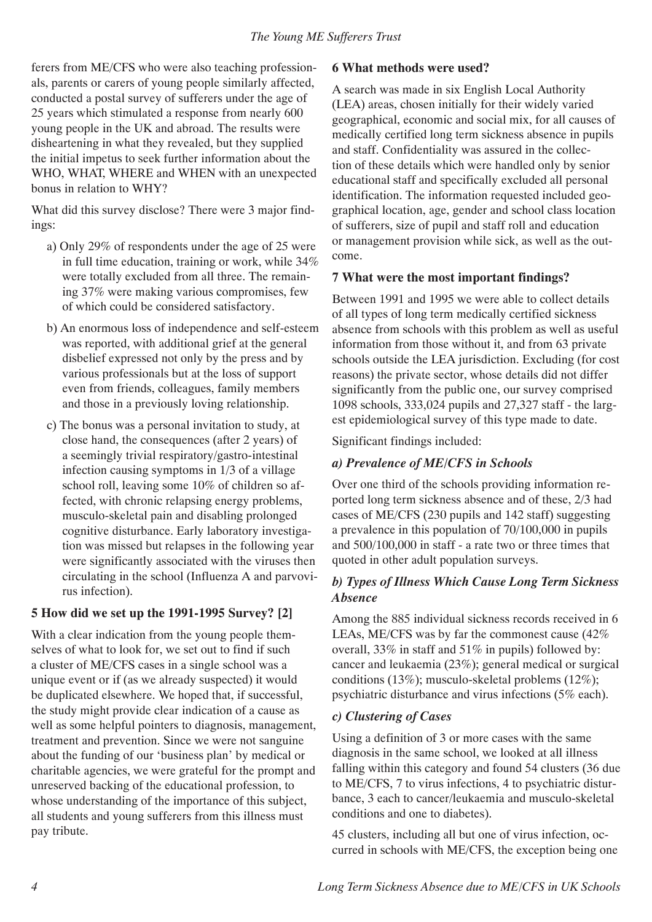ferers from ME/CFS who were also teaching professionals, parents or carers of young people similarly affected, conducted a postal survey of sufferers under the age of 25 years which stimulated a response from nearly 600 young people in the UK and abroad. The results were disheartening in what they revealed, but they supplied the initial impetus to seek further information about the WHO, WHAT, WHERE and WHEN with an unexpected bonus in relation to WHY?

What did this survey disclose? There were 3 major findings:

- a) Only 29% of respondents under the age of 25 were in full time education, training or work, while 34% were totally excluded from all three. The remaining 37% were making various compromises, few of which could be considered satisfactory.
- b) An enormous loss of independence and self-esteem was reported, with additional grief at the general disbelief expressed not only by the press and by various professionals but at the loss of support even from friends, colleagues, family members and those in a previously loving relationship.
- c) The bonus was a personal invitation to study, at close hand, the consequences (after 2 years) of a seemingly trivial respiratory/gastro-intestinal infection causing symptoms in 1/3 of a village school roll, leaving some 10% of children so affected, with chronic relapsing energy problems, musculo-skeletal pain and disabling prolonged cognitive disturbance. Early laboratory investigation was missed but relapses in the following year were significantly associated with the viruses then circulating in the school (Influenza A and parvovirus infection).

## **5 How did we set up the 1991-1995 Survey? [2]**

With a clear indication from the young people themselves of what to look for, we set out to find if such a cluster of ME/CFS cases in a single school was a unique event or if (as we already suspected) it would be duplicated elsewhere. We hoped that, if successful, the study might provide clear indication of a cause as well as some helpful pointers to diagnosis, management, treatment and prevention. Since we were not sanguine about the funding of our 'business plan' by medical or charitable agencies, we were grateful for the prompt and unreserved backing of the educational profession, to whose understanding of the importance of this subject, all students and young sufferers from this illness must pay tribute.

#### **6 What methods were used?**

A search was made in six English Local Authority (LEA) areas, chosen initially for their widely varied geographical, economic and social mix, for all causes of medically certified long term sickness absence in pupils and staff. Confidentiality was assured in the collection of these details which were handled only by senior educational staff and specifically excluded all personal identification. The information requested included geographical location, age, gender and school class location of sufferers, size of pupil and staff roll and education or management provision while sick, as well as the outcome.

#### **7 What were the most important findings?**

Between 1991 and 1995 we were able to collect details of all types of long term medically certified sickness absence from schools with this problem as well as useful information from those without it, and from 63 private schools outside the LEA jurisdiction. Excluding (for cost reasons) the private sector, whose details did not differ significantly from the public one, our survey comprised 1098 schools, 333,024 pupils and 27,327 staff - the largest epidemiological survey of this type made to date.

Significant findings included:

# *a) Prevalence of ME/CFS in Schools*

Over one third of the schools providing information reported long term sickness absence and of these, 2/3 had cases of ME/CFS (230 pupils and 142 staff) suggesting a prevalence in this population of 70/100,000 in pupils and 500/100,000 in staff - a rate two or three times that quoted in other adult population surveys.

#### *b) Types of Illness Which Cause Long Term Sickness Absence*

Among the 885 individual sickness records received in 6 LEAs, ME/CFS was by far the commonest cause (42% overall, 33% in staff and 51% in pupils) followed by: cancer and leukaemia (23%); general medical or surgical conditions (13%); musculo-skeletal problems (12%); psychiatric disturbance and virus infections (5% each).

## *c) Clustering of Cases*

Using a definition of 3 or more cases with the same diagnosis in the same school, we looked at all illness falling within this category and found 54 clusters (36 due to ME/CFS, 7 to virus infections, 4 to psychiatric disturbance, 3 each to cancer/leukaemia and musculo-skeletal conditions and one to diabetes).

45 clusters, including all but one of virus infection, occurred in schools with ME/CFS, the exception being one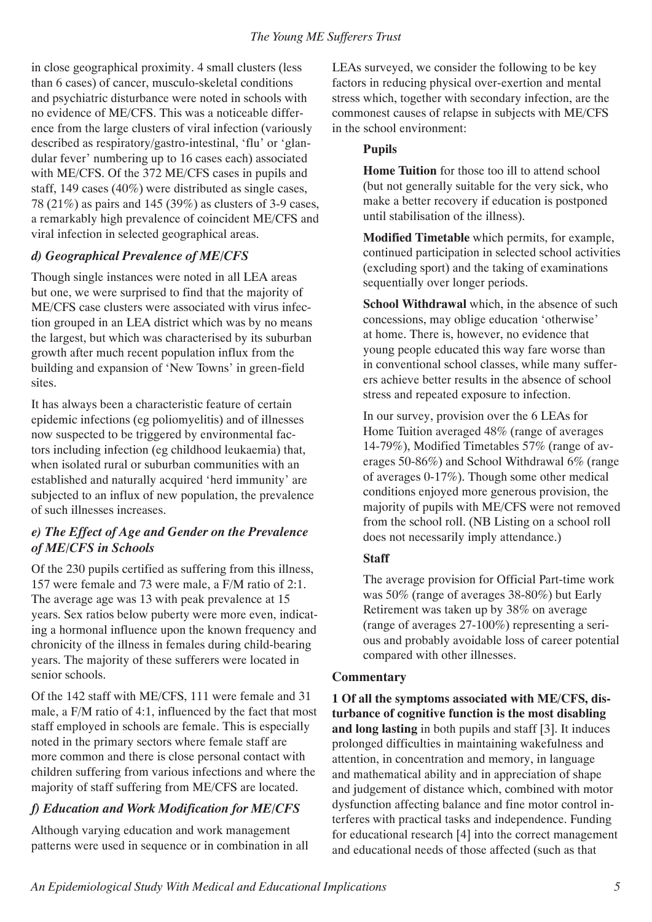in close geographical proximity. 4 small clusters (less than 6 cases) of cancer, musculo-skeletal conditions and psychiatric disturbance were noted in schools with no evidence of ME/CFS. This was a noticeable difference from the large clusters of viral infection (variously described as respiratory/gastro-intestinal, 'flu' or 'glandular fever' numbering up to 16 cases each) associated with ME/CFS. Of the 372 ME/CFS cases in pupils and staff, 149 cases (40%) were distributed as single cases, 78 (21%) as pairs and 145 (39%) as clusters of 3-9 cases, a remarkably high prevalence of coincident ME/CFS and viral infection in selected geographical areas.

# *d) Geographical Prevalence of ME/CFS*

Though single instances were noted in all LEA areas but one, we were surprised to find that the majority of ME/CFS case clusters were associated with virus infection grouped in an LEA district which was by no means the largest, but which was characterised by its suburban growth after much recent population influx from the building and expansion of 'New Towns' in green-field sites.

It has always been a characteristic feature of certain epidemic infections (eg poliomyelitis) and of illnesses now suspected to be triggered by environmental factors including infection (eg childhood leukaemia) that, when isolated rural or suburban communities with an established and naturally acquired 'herd immunity' are subjected to an influx of new population, the prevalence of such illnesses increases.

## *e) The Effect of Age and Gender on the Prevalence of ME/CFS in Schools*

Of the 230 pupils certified as suffering from this illness, 157 were female and 73 were male, a F/M ratio of 2:1. The average age was 13 with peak prevalence at 15 years. Sex ratios below puberty were more even, indicating a hormonal influence upon the known frequency and chronicity of the illness in females during child-bearing years. The majority of these sufferers were located in senior schools.

Of the 142 staff with ME/CFS, 111 were female and 31 male, a F/M ratio of 4:1, influenced by the fact that most staff employed in schools are female. This is especially noted in the primary sectors where female staff are more common and there is close personal contact with children suffering from various infections and where the majority of staff suffering from ME/CFS are located.

# *f) Education and Work Modification for ME/CFS*

Although varying education and work management patterns were used in sequence or in combination in all

LEAs surveyed, we consider the following to be key factors in reducing physical over-exertion and mental stress which, together with secondary infection, are the commonest causes of relapse in subjects with ME/CFS in the school environment:

#### **Pupils**

**Home Tuition** for those too ill to attend school (but not generally suitable for the very sick, who make a better recovery if education is postponed until stabilisation of the illness).

**Modified Timetable** which permits, for example, continued participation in selected school activities (excluding sport) and the taking of examinations sequentially over longer periods.

**School Withdrawal** which, in the absence of such concessions, may oblige education 'otherwise' at home. There is, however, no evidence that young people educated this way fare worse than in conventional school classes, while many sufferers achieve better results in the absence of school stress and repeated exposure to infection.

In our survey, provision over the 6 LEAs for Home Tuition averaged 48% (range of averages 14-79%), Modified Timetables 57% (range of averages 50-86%) and School Withdrawal 6% (range of averages 0-17%). Though some other medical conditions enjoyed more generous provision, the majority of pupils with ME/CFS were not removed from the school roll. (NB Listing on a school roll does not necessarily imply attendance.)

#### **Staff**

The average provision for Official Part-time work was 50% (range of averages 38-80%) but Early Retirement was taken up by 38% on average (range of averages 27-100%) representing a serious and probably avoidable loss of career potential compared with other illnesses.

## **Commentary**

**1 Of all the symptoms associated with ME/CFS, disturbance of cognitive function is the most disabling and long lasting** in both pupils and staff [3]. It induces prolonged difficulties in maintaining wakefulness and attention, in concentration and memory, in language and mathematical ability and in appreciation of shape and judgement of distance which, combined with motor dysfunction affecting balance and fine motor control interferes with practical tasks and independence. Funding for educational research [4] into the correct management and educational needs of those affected (such as that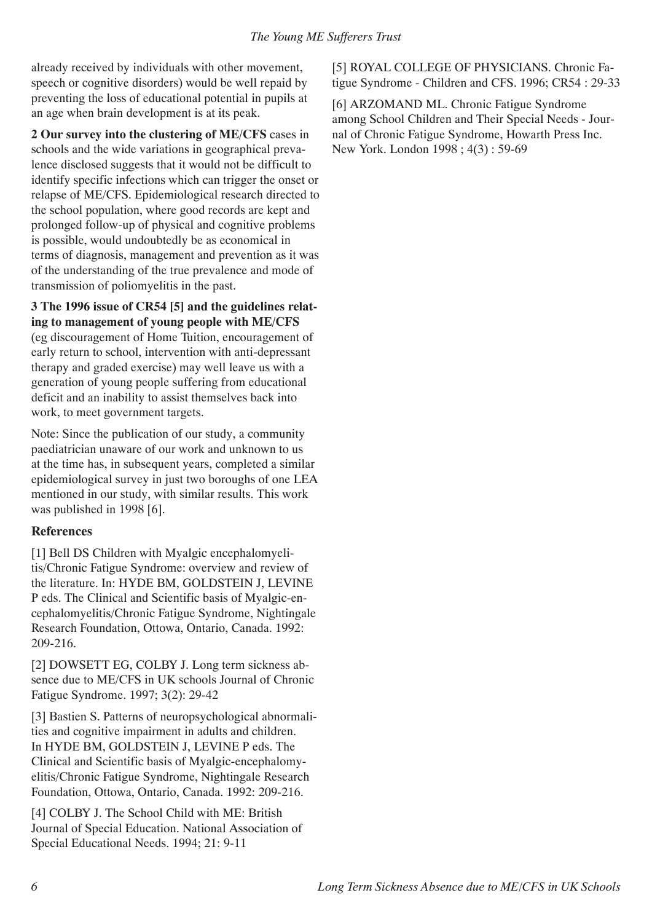already received by individuals with other movement, speech or cognitive disorders) would be well repaid by preventing the loss of educational potential in pupils at an age when brain development is at its peak.

**2 Our survey into the clustering of ME/CFS** cases in schools and the wide variations in geographical prevalence disclosed suggests that it would not be difficult to identify specific infections which can trigger the onset or relapse of ME/CFS. Epidemiological research directed to the school population, where good records are kept and prolonged follow-up of physical and cognitive problems is possible, would undoubtedly be as economical in terms of diagnosis, management and prevention as it was of the understanding of the true prevalence and mode of transmission of poliomyelitis in the past.

#### **3 The 1996 issue of CR54 [5] and the guidelines relating to management of young people with ME/CFS**

(eg discouragement of Home Tuition, encouragement of early return to school, intervention with anti-depressant therapy and graded exercise) may well leave us with a generation of young people suffering from educational deficit and an inability to assist themselves back into work, to meet government targets.

Note: Since the publication of our study, a community paediatrician unaware of our work and unknown to us at the time has, in subsequent years, completed a similar epidemiological survey in just two boroughs of one LEA mentioned in our study, with similar results. This work was published in 1998 [6].

#### **References**

[1] Bell DS Children with Myalgic encephalomyelitis/Chronic Fatigue Syndrome: overview and review of the literature. In: HYDE BM, GOLDSTEIN J, LEVINE P eds. The Clinical and Scientific basis of Myalgic-encephalomyelitis/Chronic Fatigue Syndrome, Nightingale Research Foundation, Ottowa, Ontario, Canada. 1992: 209-216.

[2] DOWSETT EG, COLBY J. Long term sickness absence due to ME/CFS in UK schools Journal of Chronic Fatigue Syndrome. 1997; 3(2): 29-42

[3] Bastien S. Patterns of neuropsychological abnormalities and cognitive impairment in adults and children. In HYDE BM, GOLDSTEIN J, LEVINE P eds. The Clinical and Scientific basis of Myalgic-encephalomyelitis/Chronic Fatigue Syndrome, Nightingale Research Foundation, Ottowa, Ontario, Canada. 1992: 209-216.

[4] COLBY J. The School Child with ME: British Journal of Special Education. National Association of Special Educational Needs. 1994; 21: 9-11

[5] ROYAL COLLEGE OF PHYSICIANS. Chronic Fatigue Syndrome - Children and CFS. 1996; CR54 : 29-33

[6] ARZOMAND ML. Chronic Fatigue Syndrome among School Children and Their Special Needs - Journal of Chronic Fatigue Syndrome, Howarth Press Inc. New York. London 1998 ; 4(3) : 59-69